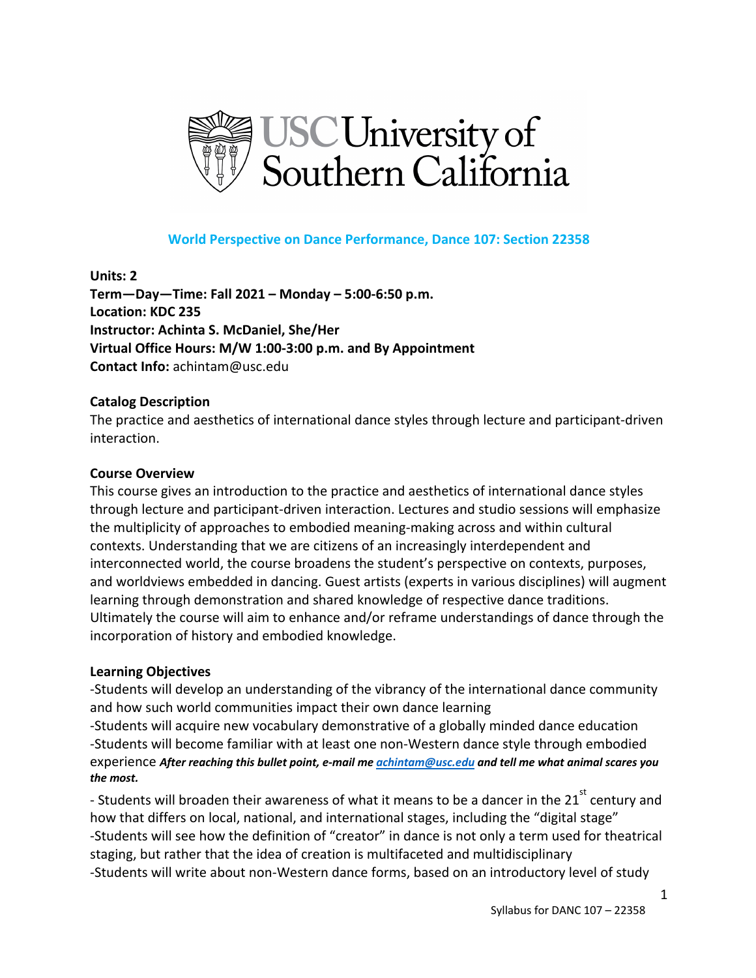

### **World Perspective on Dance Performance, Dance 107: Section 22358**

**Units: 2 Term—Day—Time: Fall 2021 – Monday – 5:00-6:50 p.m. Location: KDC 235 Instructor: Achinta S. McDaniel, She/Her Virtual Office Hours: M/W 1:00-3:00 p.m. and By Appointment Contact Info:** achintam@usc.edu

#### **Catalog Description**

The practice and aesthetics of international dance styles through lecture and participant-driven interaction.

#### **Course Overview**

This course gives an introduction to the practice and aesthetics of international dance styles through lecture and participant-driven interaction. Lectures and studio sessions will emphasize the multiplicity of approaches to embodied meaning-making across and within cultural contexts. Understanding that we are citizens of an increasingly interdependent and interconnected world, the course broadens the student's perspective on contexts, purposes, and worldviews embedded in dancing. Guest artists (experts in various disciplines) will augment learning through demonstration and shared knowledge of respective dance traditions. Ultimately the course will aim to enhance and/or reframe understandings of dance through the incorporation of history and embodied knowledge.

#### **Learning Objectives**

-Students will develop an understanding of the vibrancy of the international dance community and how such world communities impact their own dance learning

-Students will acquire new vocabulary demonstrative of a globally minded dance education -Students will become familiar with at least one non-Western dance style through embodied experience *After reaching this bullet point, e-mail me achintam@usc.edu and tell me what animal scares you the most.*

- Students will broaden their awareness of what it means to be a dancer in the 21<sup>st</sup> century and how that differs on local, national, and international stages, including the "digital stage" -Students will see how the definition of "creator" in dance is not only a term used for theatrical staging, but rather that the idea of creation is multifaceted and multidisciplinary -Students will write about non-Western dance forms, based on an introductory level of study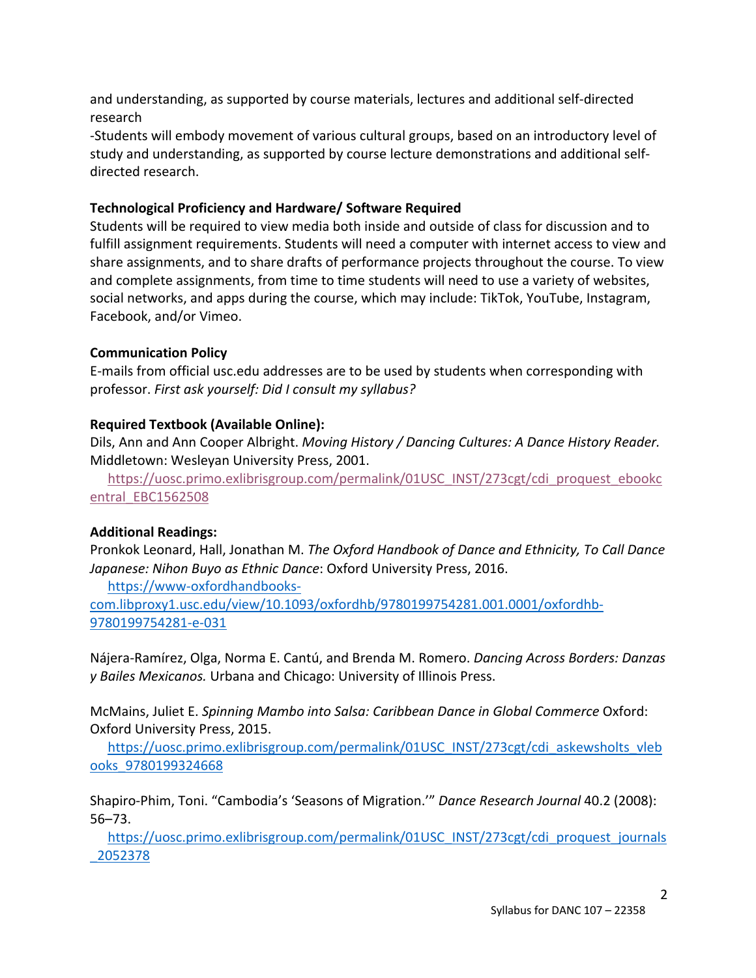and understanding, as supported by course materials, lectures and additional self-directed research

-Students will embody movement of various cultural groups, based on an introductory level of study and understanding, as supported by course lecture demonstrations and additional selfdirected research.

## **Technological Proficiency and Hardware/ Software Required**

Students will be required to view media both inside and outside of class for discussion and to fulfill assignment requirements. Students will need a computer with internet access to view and share assignments, and to share drafts of performance projects throughout the course. To view and complete assignments, from time to time students will need to use a variety of websites, social networks, and apps during the course, which may include: TikTok, YouTube, Instagram, Facebook, and/or Vimeo.

# **Communication Policy**

E-mails from official usc.edu addresses are to be used by students when corresponding with professor. *First ask yourself: Did I consult my syllabus?* 

# **Required Textbook (Available Online):**

Dils, Ann and Ann Cooper Albright. *Moving History / Dancing Cultures: A Dance History Reader.*  Middletown: Wesleyan University Press, 2001.

https://uosc.primo.exlibrisgroup.com/permalink/01USC\_INST/273cgt/cdi\_proquest\_ebookc entral\_EBC1562508

# **Additional Readings:**

Pronkok Leonard, Hall, Jonathan M. *The Oxford Handbook of Dance and Ethnicity, To Call Dance Japanese: Nihon Buyo as Ethnic Dance*: Oxford University Press, 2016.

https://www-oxfordhandbooks-

com.libproxy1.usc.edu/view/10.1093/oxfordhb/9780199754281.001.0001/oxfordhb-9780199754281-e-031

Nájera-Ramírez, Olga, Norma E. Cantú, and Brenda M. Romero. *Dancing Across Borders: Danzas y Bailes Mexicanos.* Urbana and Chicago: University of Illinois Press.

McMains, Juliet E. *Spinning Mambo into Salsa: Caribbean Dance in Global Commerce* Oxford: Oxford University Press, 2015.

https://uosc.primo.exlibrisgroup.com/permalink/01USC\_INST/273cgt/cdi\_askewsholts\_vleb ooks\_9780199324668

Shapiro-Phim, Toni. "Cambodia's 'Seasons of Migration.'" *Dance Research Journal* 40.2 (2008): 56–73.

https://uosc.primo.exlibrisgroup.com/permalink/01USC\_INST/273cgt/cdi\_proquest\_journals \_2052378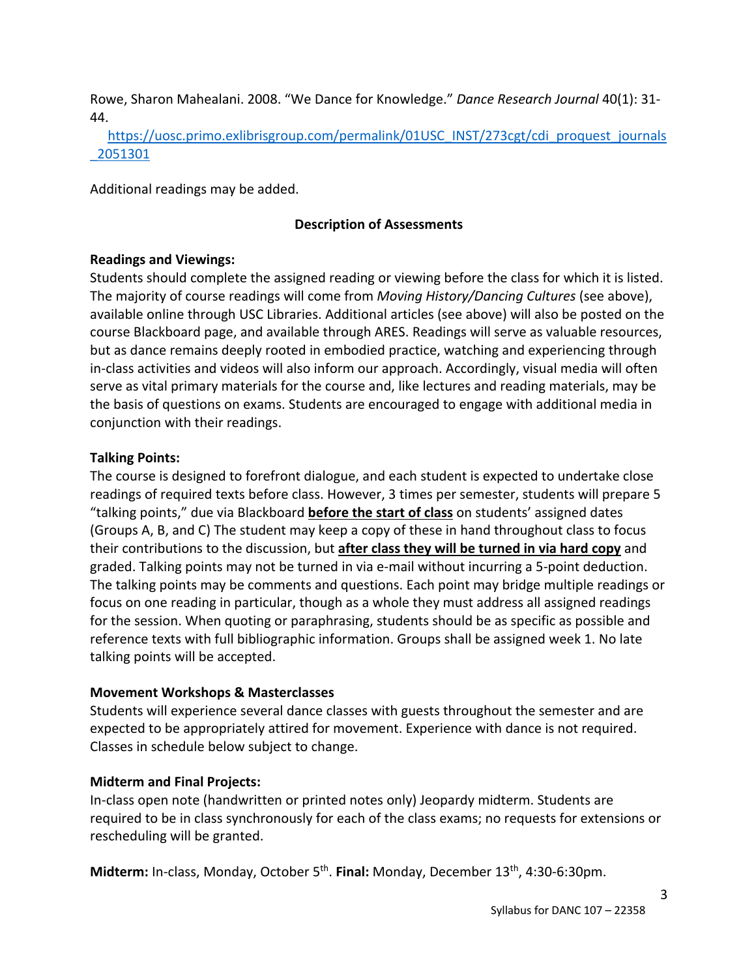Rowe, Sharon Mahealani. 2008. "We Dance for Knowledge." *Dance Research Journal* 40(1): 31- 44.

https://uosc.primo.exlibrisgroup.com/permalink/01USC\_INST/273cgt/cdi\_proquest\_journals \_2051301

Additional readings may be added.

#### **Description of Assessments**

#### **Readings and Viewings:**

Students should complete the assigned reading or viewing before the class for which it is listed. The majority of course readings will come from *Moving History/Dancing Cultures* (see above), available online through USC Libraries. Additional articles (see above) will also be posted on the course Blackboard page, and available through ARES. Readings will serve as valuable resources, but as dance remains deeply rooted in embodied practice, watching and experiencing through in-class activities and videos will also inform our approach. Accordingly, visual media will often serve as vital primary materials for the course and, like lectures and reading materials, may be the basis of questions on exams. Students are encouraged to engage with additional media in conjunction with their readings.

#### **Talking Points:**

The course is designed to forefront dialogue, and each student is expected to undertake close readings of required texts before class. However, 3 times per semester, students will prepare 5 "talking points," due via Blackboard **before the start of class** on students' assigned dates (Groups A, B, and C) The student may keep a copy of these in hand throughout class to focus their contributions to the discussion, but **after class they will be turned in via hard copy** and graded. Talking points may not be turned in via e-mail without incurring a 5-point deduction. The talking points may be comments and questions. Each point may bridge multiple readings or focus on one reading in particular, though as a whole they must address all assigned readings for the session. When quoting or paraphrasing, students should be as specific as possible and reference texts with full bibliographic information. Groups shall be assigned week 1. No late talking points will be accepted.

#### **Movement Workshops & Masterclasses**

Students will experience several dance classes with guests throughout the semester and are expected to be appropriately attired for movement. Experience with dance is not required. Classes in schedule below subject to change.

#### **Midterm and Final Projects:**

In-class open note (handwritten or printed notes only) Jeopardy midterm. Students are required to be in class synchronously for each of the class exams; no requests for extensions or rescheduling will be granted.

**Midterm:** In-class, Monday, October 5<sup>th</sup>. **Final:** Monday, December 13<sup>th</sup>, 4:30-6:30pm.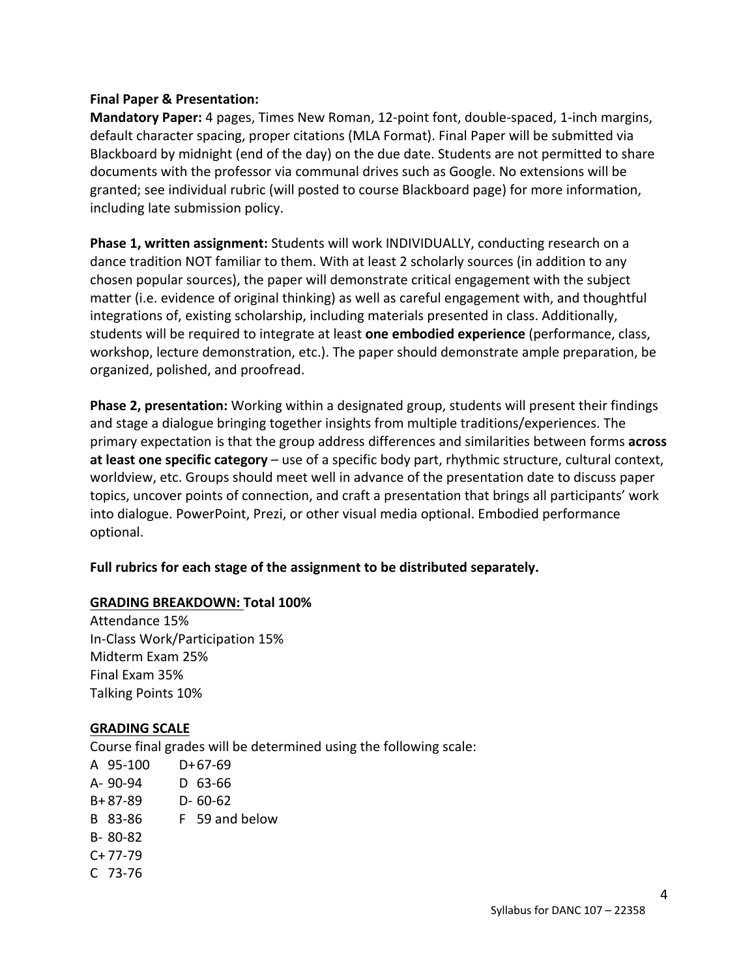#### **Final Paper & Presentation:**

**Mandatory Paper:** 4 pages, Times New Roman, 12-point font, double-spaced, 1-inch margins, default character spacing, proper citations (MLA Format). Final Paper will be submitted via Blackboard by midnight (end of the day) on the due date. Students are not permitted to share documents with the professor via communal drives such as Google. No extensions will be granted; see individual rubric (will posted to course Blackboard page) for more information, including late submission policy.

**Phase 1, written assignment:** Students will work INDIVIDUALLY, conducting research on a dance tradition NOT familiar to them. With at least 2 scholarly sources (in addition to any chosen popular sources), the paper will demonstrate critical engagement with the subject matter (i.e. evidence of original thinking) as well as careful engagement with, and thoughtful integrations of, existing scholarship, including materials presented in class. Additionally, students will be required to integrate at least **one embodied experience** (performance, class, workshop, lecture demonstration, etc.). The paper should demonstrate ample preparation, be organized, polished, and proofread.

**Phase 2, presentation:** Working within a designated group, students will present their findings and stage a dialogue bringing together insights from multiple traditions/experiences. The primary expectation is that the group address differences and similarities between forms **across at least one specific category** – use of a specific body part, rhythmic structure, cultural context, worldview, etc. Groups should meet well in advance of the presentation date to discuss paper topics, uncover points of connection, and craft a presentation that brings all participants' work into dialogue. PowerPoint, Prezi, or other visual media optional. Embodied performance optional.

## **Full rubrics for each stage of the assignment to be distributed separately.**

#### **GRADING BREAKDOWN: Total 100%**

Attendance 15% In-Class Work/Participation 15% Midterm Exam 25% Final Exam 35% Talking Points 10%

#### **GRADING SCALE**

Course final grades will be determined using the following scale: A 95-100 D+67-69 A- 90-94 D 63-66 B+ 87-89 D- 60-62 B 83-86 F 59 and below B- 80-82 C+ 77-79 C 73-76

4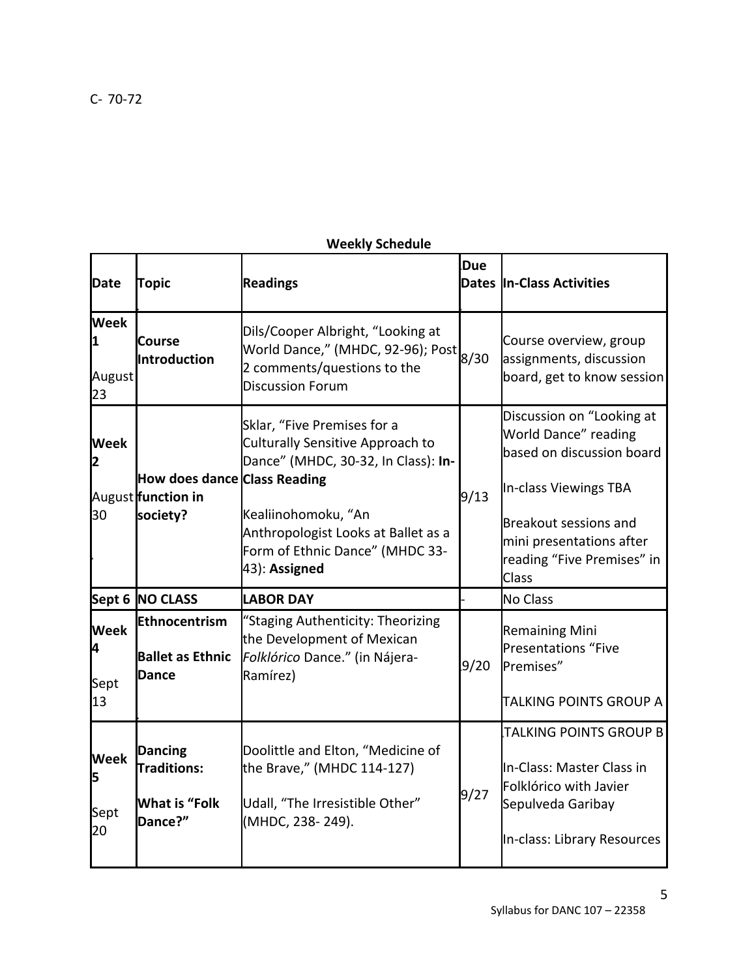# **Weekly Schedule**

| <b>Date</b>                      | Topic                                                                   | <b>Readings</b>                                                                                                                                                                                                          | <b>Due</b> | <b>Dates In-Class Activities</b>                                                                                                                                                                           |
|----------------------------------|-------------------------------------------------------------------------|--------------------------------------------------------------------------------------------------------------------------------------------------------------------------------------------------------------------------|------------|------------------------------------------------------------------------------------------------------------------------------------------------------------------------------------------------------------|
| <b>Week</b><br>1<br>August<br>23 | <b>Course</b><br>Introduction                                           | Dils/Cooper Albright, "Looking at<br>World Dance," (MHDC, 92-96); Post<br>2 comments/questions to the<br><b>Discussion Forum</b>                                                                                         | 8/30       | Course overview, group<br>assignments, discussion<br>board, get to know session                                                                                                                            |
| <b>Week</b><br>2<br>30           | How does dance Class Reading<br>August function in<br>society?          | Sklar, "Five Premises for a<br>Culturally Sensitive Approach to<br>Dance" (MHDC, 30-32, In Class): In-<br>Kealiinohomoku, "An<br>Anthropologist Looks at Ballet as a<br>Form of Ethnic Dance" (MHDC 33-<br>43): Assigned | 9/13       | Discussion on "Looking at<br>World Dance" reading<br>based on discussion board<br>In-class Viewings TBA<br><b>Breakout sessions and</b><br>mini presentations after<br>reading "Five Premises" in<br>Class |
|                                  | Sept 6 NO CLASS                                                         | <b>LABOR DAY</b>                                                                                                                                                                                                         |            | <b>No Class</b>                                                                                                                                                                                            |
| <b>Week</b><br>4<br>Sept<br>13   | Ethnocentrism<br><b>Ballet as Ethnic</b><br>Dance                       | "Staging Authenticity: Theorizing<br>the Development of Mexican<br>Folklórico Dance." (in Nájera-<br>Ramírez)                                                                                                            | 9/20       | <b>Remaining Mini</b><br><b>Presentations "Five</b><br>Premises"<br>TALKING POINTS GROUP A                                                                                                                 |
| <b>Week</b><br>5<br>Sept<br>20   | <b>Dancing</b><br><b>Traditions:</b><br><b>What is "Folk</b><br>Dance?" | Doolittle and Elton, "Medicine of<br>the Brave," (MHDC 114-127)<br>Udall, "The Irresistible Other"<br>(MHDC, 238-249).                                                                                                   | 9/27       | TALKING POINTS GROUP B<br>In-Class: Master Class in<br>Folklórico with Javier<br>Sepulveda Garibay<br>In-class: Library Resources                                                                          |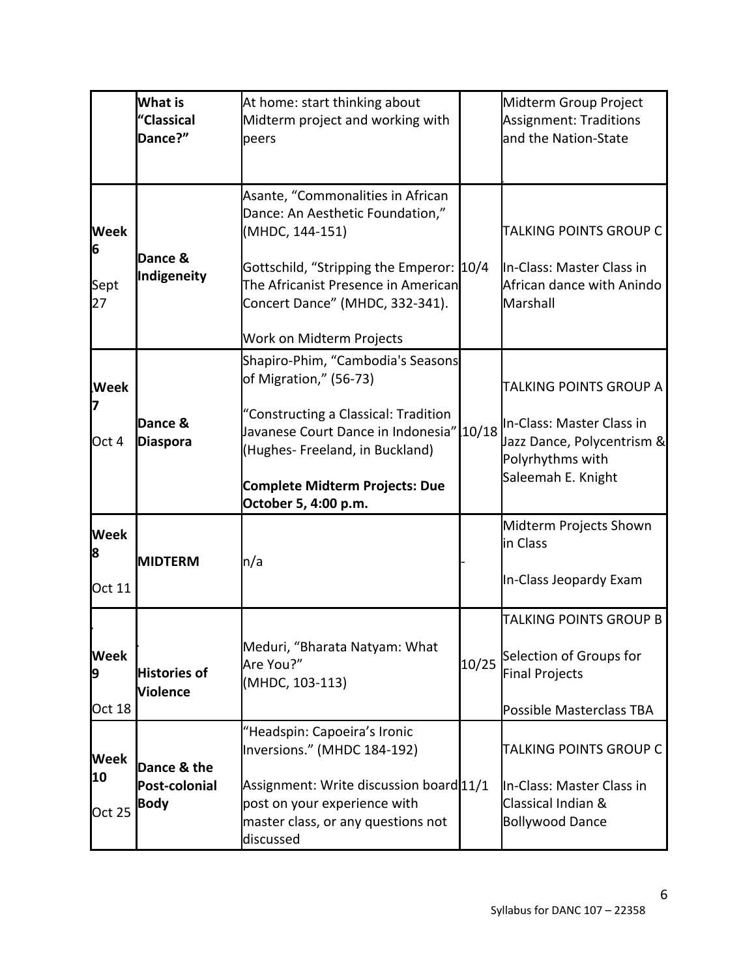|                                   | <b>What is</b><br>"Classical<br>Dance?"     | At home: start thinking about<br>Midterm project and working with<br>peers                                                                                                                                                                         | Midterm Group Project<br><b>Assignment: Traditions</b><br>and the Nation-State                                              |
|-----------------------------------|---------------------------------------------|----------------------------------------------------------------------------------------------------------------------------------------------------------------------------------------------------------------------------------------------------|-----------------------------------------------------------------------------------------------------------------------------|
| <b>Week</b><br>6<br>Sept<br>27    | Dance &<br>Indigeneity                      | Asante, "Commonalities in African<br>Dance: An Aesthetic Foundation,"<br>(MHDC, 144-151)<br>Gottschild, "Stripping the Emperor: 10/4<br>The Africanist Presence in American<br>Concert Dance" (MHDC, 332-341).<br>Work on Midterm Projects         | TALKING POINTS GROUP C<br>In-Class: Master Class in<br>African dance with Anindo<br>Marshall                                |
| <b>Week</b><br>Oct 4              | Dance &<br><b>Diaspora</b>                  | Shapiro-Phim, "Cambodia's Seasons<br>of Migration," (56-73)<br>"Constructing a Classical: Tradition<br>Javanese Court Dance in Indonesia" 10/18<br>(Hughes-Freeland, in Buckland)<br><b>Complete Midterm Projects: Due</b><br>October 5, 4:00 p.m. | TALKING POINTS GROUP A<br>In-Class: Master Class in<br>Jazz Dance, Polycentrism &<br>Polyrhythms with<br>Saleemah E. Knight |
| <b>Week</b><br>8<br><b>Oct 11</b> | <b>IMIDTERM</b>                             | n/a                                                                                                                                                                                                                                                | Midterm Projects Shown<br>in Class<br>In-Class Jeopardy Exam                                                                |
| <b>Week</b><br>9<br><b>Oct 18</b> | <b>Histories of</b><br><b>Violence</b>      | Meduri, "Bharata Natyam: What<br>Are You?"<br>(MHDC, 103-113)                                                                                                                                                                                      | TALKING POINTS GROUP B<br>10/25 Selection of Groups for<br><b>Final Projects</b><br>Possible Masterclass TBA                |
| <b>Week</b><br>10<br>Oct 25       | Dance & the<br>Post-colonial<br><b>Body</b> | "Headspin: Capoeira's Ironic<br>Inversions." (MHDC 184-192)<br>Assignment: Write discussion board 11/1<br>post on your experience with<br>master class, or any questions not<br>discussed                                                          | TALKING POINTS GROUP C<br>In-Class: Master Class in<br>Classical Indian &<br><b>Bollywood Dance</b>                         |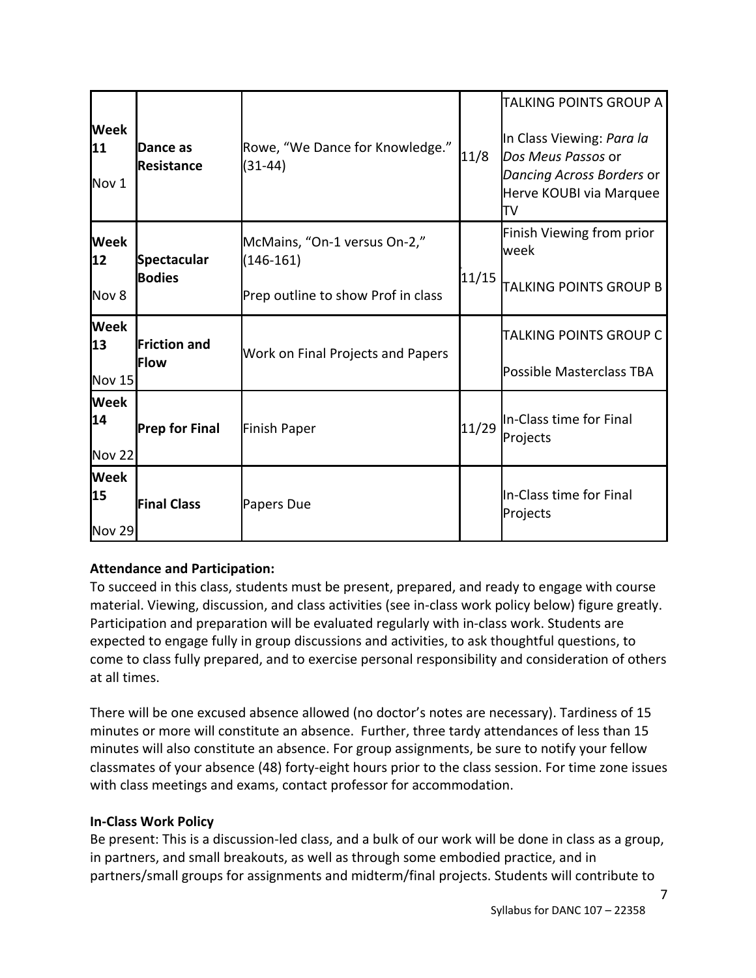| <b>Week</b><br>11<br>Nov 1         | Dance as<br>Resistance              | Rowe, "We Dance for Knowledge."<br>$(31-44)$                                      | 11/8  | TALKING POINTS GROUP A<br>In Class Viewing: Para la<br>Dos Meus Passos or<br>Dancing Across Borders or<br>Herve KOUBI via Marquee<br>lΤV |
|------------------------------------|-------------------------------------|-----------------------------------------------------------------------------------|-------|------------------------------------------------------------------------------------------------------------------------------------------|
| <b>Week</b><br>12<br>Nov 8         | <b>Spectacular</b><br><b>Bodies</b> | McMains, "On-1 versus On-2,"<br>$(146-161)$<br>Prep outline to show Prof in class | 11/15 | Finish Viewing from prior<br>week<br><b>TALKING POINTS GROUP B</b>                                                                       |
| <b>Week</b><br>13<br><b>Nov 15</b> | <b>Friction and</b><br>lFlow        | Work on Final Projects and Papers                                                 |       | TALKING POINTS GROUP C<br>Possible Masterclass TBA                                                                                       |
| <b>Week</b><br>14<br><b>Nov 22</b> | <b>Prep for Final</b>               | <b>Finish Paper</b>                                                               | 11/29 | In-Class time for Final<br>Projects                                                                                                      |
| <b>Week</b><br>15<br><b>Nov 29</b> | <b>Final Class</b>                  | Papers Due                                                                        |       | In-Class time for Final<br>Projects                                                                                                      |

# **Attendance and Participation:**

To succeed in this class, students must be present, prepared, and ready to engage with course material. Viewing, discussion, and class activities (see in-class work policy below) figure greatly. Participation and preparation will be evaluated regularly with in-class work. Students are expected to engage fully in group discussions and activities, to ask thoughtful questions, to come to class fully prepared, and to exercise personal responsibility and consideration of others at all times.

There will be one excused absence allowed (no doctor's notes are necessary). Tardiness of 15 minutes or more will constitute an absence. Further, three tardy attendances of less than 15 minutes will also constitute an absence. For group assignments, be sure to notify your fellow classmates of your absence (48) forty-eight hours prior to the class session. For time zone issues with class meetings and exams, contact professor for accommodation.

## **In-Class Work Policy**

Be present: This is a discussion-led class, and a bulk of our work will be done in class as a group, in partners, and small breakouts, as well as through some embodied practice, and in partners/small groups for assignments and midterm/final projects. Students will contribute to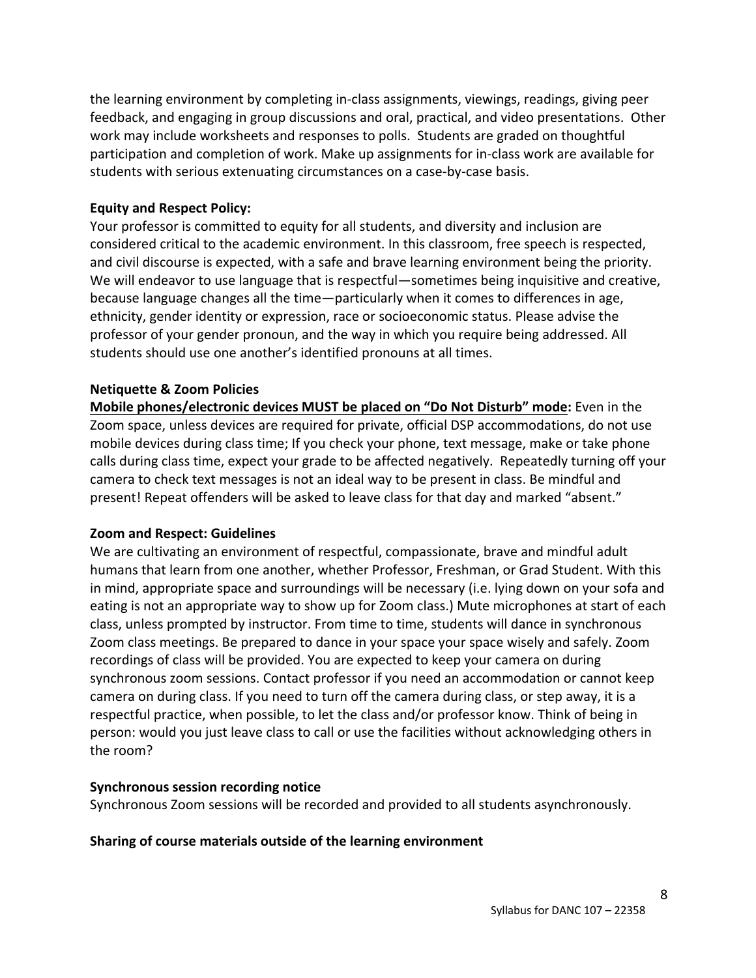the learning environment by completing in-class assignments, viewings, readings, giving peer feedback, and engaging in group discussions and oral, practical, and video presentations. Other work may include worksheets and responses to polls. Students are graded on thoughtful participation and completion of work. Make up assignments for in-class work are available for students with serious extenuating circumstances on a case-by-case basis.

#### **Equity and Respect Policy:**

Your professor is committed to equity for all students, and diversity and inclusion are considered critical to the academic environment. In this classroom, free speech is respected, and civil discourse is expected, with a safe and brave learning environment being the priority. We will endeavor to use language that is respectful—sometimes being inquisitive and creative, because language changes all the time—particularly when it comes to differences in age, ethnicity, gender identity or expression, race or socioeconomic status. Please advise the professor of your gender pronoun, and the way in which you require being addressed. All students should use one another's identified pronouns at all times.

### **Netiquette & Zoom Policies**

**Mobile phones/electronic devices MUST be placed on "Do Not Disturb" mode:** Even in the Zoom space, unless devices are required for private, official DSP accommodations, do not use mobile devices during class time; If you check your phone, text message, make or take phone calls during class time, expect your grade to be affected negatively. Repeatedly turning off your camera to check text messages is not an ideal way to be present in class. Be mindful and present! Repeat offenders will be asked to leave class for that day and marked "absent."

#### **Zoom and Respect: Guidelines**

We are cultivating an environment of respectful, compassionate, brave and mindful adult humans that learn from one another, whether Professor, Freshman, or Grad Student. With this in mind, appropriate space and surroundings will be necessary (i.e. lying down on your sofa and eating is not an appropriate way to show up for Zoom class.) Mute microphones at start of each class, unless prompted by instructor. From time to time, students will dance in synchronous Zoom class meetings. Be prepared to dance in your space your space wisely and safely. Zoom recordings of class will be provided. You are expected to keep your camera on during synchronous zoom sessions. Contact professor if you need an accommodation or cannot keep camera on during class. If you need to turn off the camera during class, or step away, it is a respectful practice, when possible, to let the class and/or professor know. Think of being in person: would you just leave class to call or use the facilities without acknowledging others in the room?

#### **Synchronous session recording notice**

Synchronous Zoom sessions will be recorded and provided to all students asynchronously.

#### **Sharing of course materials outside of the learning environment**

8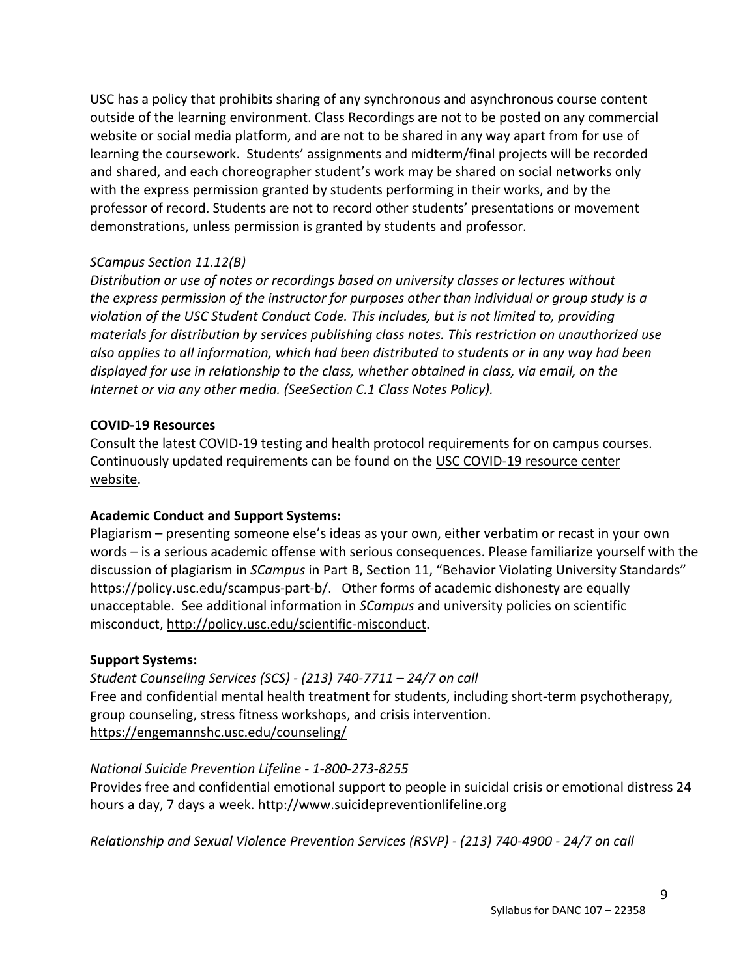USC has a policy that prohibits sharing of any synchronous and asynchronous course content outside of the learning environment. Class Recordings are not to be posted on any commercial website or social media platform, and are not to be shared in any way apart from for use of learning the coursework. Students' assignments and midterm/final projects will be recorded and shared, and each choreographer student's work may be shared on social networks only with the express permission granted by students performing in their works, and by the professor of record. Students are not to record other students' presentations or movement demonstrations, unless permission is granted by students and professor.

# *SCampus Section 11.12(B)*

*Distribution or use of notes or recordings based on university classes or lectures without the express permission of the instructor for purposes other than individual or group study is a violation of the USC Student Conduct Code. This includes, but is not limited to, providing materials for distribution by services publishing class notes. This restriction on unauthorized use also applies to all information, which had been distributed to students or in any way had been displayed for use in relationship to the class, whether obtained in class, via email, on the Internet or via any other media. (SeeSection C.1 Class Notes Policy).*

### **COVID-19 Resources**

Consult the latest COVID-19 testing and health protocol requirements for on campus courses. Continuously updated requirements can be found on the USC COVID-19 resource center website.

## **Academic Conduct and Support Systems:**

Plagiarism – presenting someone else's ideas as your own, either verbatim or recast in your own words – is a serious academic offense with serious consequences. Please familiarize yourself with the discussion of plagiarism in *SCampus* in Part B, Section 11, "Behavior Violating University Standards" https://policy.usc.edu/scampus-part-b/. Other forms of academic dishonesty are equally unacceptable. See additional information in *SCampus* and university policies on scientific misconduct, http://policy.usc.edu/scientific-misconduct.

## **Support Systems:**

*Student Counseling Services (SCS) - (213) 740-7711 – 24/7 on call* Free and confidential mental health treatment for students, including short-term psychotherapy, group counseling, stress fitness workshops, and crisis intervention. https://engemannshc.usc.edu/counseling/

#### *National Suicide Prevention Lifeline - 1-800-273-8255*

Provides free and confidential emotional support to people in suicidal crisis or emotional distress 24 hours a day, 7 days a week. http://www.suicidepreventionlifeline.org

*Relationship and Sexual Violence Prevention Services (RSVP) - (213) 740-4900 - 24/7 on call*